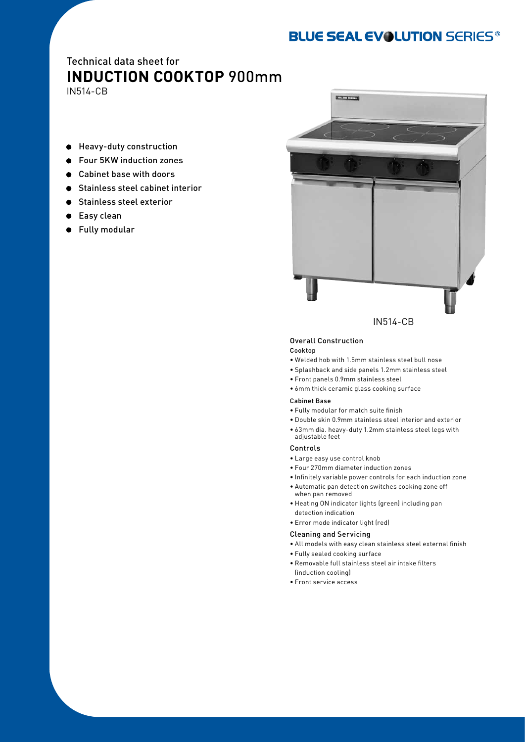# **BLUE SEAL EVOLUTION SERIES®**

# Technical data sheet for **INDUCTION COOKTOP** 900mm

IN514-CB

- Heavy-duty construction
- Four 5KW induction zones  $\bullet$
- Cabinet base with doors  $\bullet$
- Stainless steel cabinet interior  $\bullet$
- **Stainless steel exterior**
- **Easy clean**
- Fully modular



Overall Construction

#### Cooktop

- • Welded hob with 1.5mm stainless steel bull nose
- • Splashback and side panels 1.2mm stainless steel
- • Front panels 0.9mm stainless steel
- • 6mm thick ceramic glass cooking surface

## Cabinet Base

- • Fully modular for match suite finish
- • Double skin 0.9mm stainless steel interior and exterior
- • 63mm dia. heavy-duty 1.2mm stainless steel legs with adjustable feet

#### Controls

- • Large easy use control knob
- • Four 270mm diameter induction zones
- • Infinitely variable power controls for each induction zone
- • Automatic pan detection switches cooking zone off when pan removed
- • Heating ON indicator lights (green) including pan detection indication
- • Error mode indicator light (red)

## Cleaning and Servicing

- • All models with easy clean stainless steel external finish
- • Fully sealed cooking surface
- • Removable full stainless steel air intake filters (induction cooling)
- • Front service access